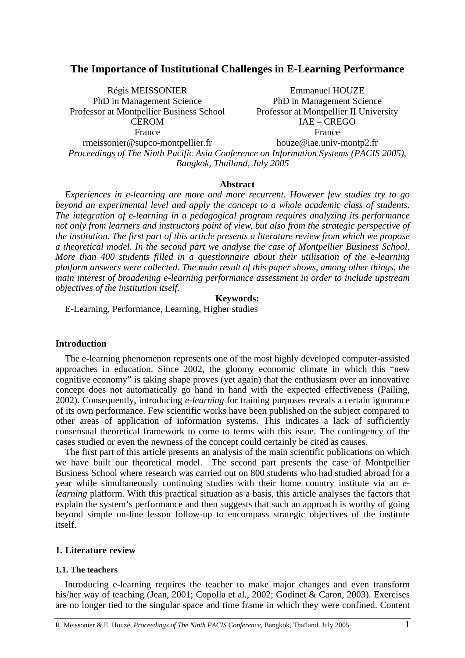# **The Importance of Institutional Challenges in E-Learning Performance**

Régis MEISSONIER PhD in Management Science Professor at Montpellier Business School **CEROM** France rmeissonier@supco-montpellier.fr

Emmanuel HOUZE PhD in Management Science Professor at Montpellier II University IAE – CREGO France houze@iae.univ-montp2.fr

*Proceedings of The Ninth Pacific Asia Conference on Information Systems (PACIS 2005), Bangkok, Thaïland, July 2005*

### **Abstract**

*Experiences in e-learning are more and more recurrent. However few studies try to go beyond an experimental level and apply the concept to a whole academic class of students. The integration of e-learning in a pedagogical program requires analyzing its performance not only from learners and instructors point of view, but also from the strategic perspective of the institution. The first part of this article presents a literature review from which we propose a theoretical model. In the second part we analyse the case of Montpellier Business School. More than 400 students filled in a questionnaire about their utilisation of the e-learning platform answers were collected. The main result of this paper shows, among other things, the main interest of broadening e-learning performance assessment in order to include upstream objectives of the institution itself.* 

**Keywords:** 

E-Learning, Performance, Learning, Higher studies

#### **Introduction**

The e-learning phenomenon represents one of the most highly developed computer-assisted approaches in education. Since 2002, the gloomy economic climate in which this "new cognitive economy" is taking shape proves (yet again) that the enthusiasm over an innovative concept does not automatically go hand in hand with the expected effectiveness (Pailing, 2002). Consequently, introducing *e-learning* for training purposes reveals a certain ignorance of its own performance. Few scientific works have been published on the subject compared to other areas of application of information systems. This indicates a lack of sufficiently consensual theoretical framework to come to terms with this issue. The contingency of the cases studied or even the newness of the concept could certainly be cited as causes.

The first part of this article presents an analysis of the main scientific publications on which we have built our theoretical model. The second part presents the case of Montpellier Business School where research was carried out on 800 students who had studied abroad for a year while simultaneously continuing studies with their home country institute via an *elearning* platform. With this practical situation as a basis, this article analyses the factors that explain the system's performance and then suggests that such an approach is worthy of going beyond simple on-line lesson follow-up to encompass strategic objectives of the institute itself.

### **1. Literature review**

#### **1.1. The teachers**

Introducing e-learning requires the teacher to make major changes and even transform his/her way of teaching (Jean, 2001; Copolla et al*.*, 2002; Godinet & Caron, 2003). Exercises are no longer tied to the singular space and time frame in which they were confined. Content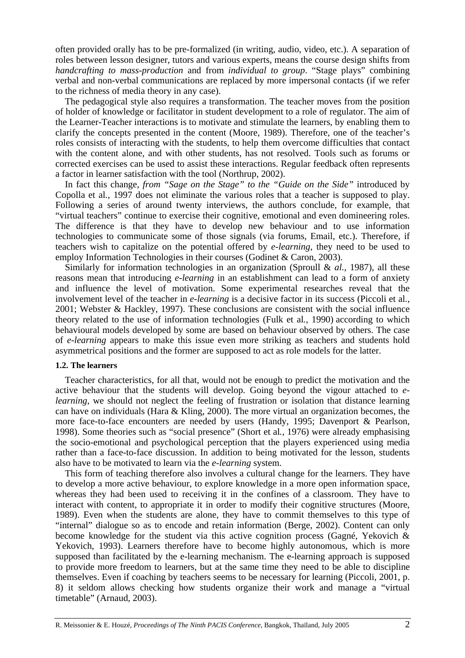often provided orally has to be pre-formalized (in writing, audio, video, etc.). A separation of roles between lesson designer, tutors and various experts, means the course design shifts from *handcrafting to mass-production* and from *individual to group*. "Stage plays" combining verbal and non-verbal communications are replaced by more impersonal contacts (if we refer to the richness of media theory in any case).

The pedagogical style also requires a transformation. The teacher moves from the position of holder of knowledge or facilitator in student development to a role of regulator. The aim of the Learner-Teacher interactions is to motivate and stimulate the learners, by enabling them to clarify the concepts presented in the content (Moore, 1989). Therefore, one of the teacher's roles consists of interacting with the students, to help them overcome difficulties that contact with the content alone, and with other students, has not resolved. Tools such as forums or corrected exercises can be used to assist these interactions. Regular feedback often represents a factor in learner satisfaction with the tool (Northrup, 2002).

In fact this change, *from "Sage on the Stage" to the "Guide on the Side"* introduced by Copolla et al*.*, 1997 does not eliminate the various roles that a teacher is supposed to play. Following a series of around twenty interviews, the authors conclude, for example, that "virtual teachers" continue to exercise their cognitive, emotional and even domineering roles. The difference is that they have to develop new behaviour and to use information technologies to communicate some of those signals (via forums, Email, etc.). Therefore, if teachers wish to capitalize on the potential offered by *e-learning*, they need to be used to employ Information Technologies in their courses (Godinet & Caron, 2003).

Similarly for information technologies in an organization (Sproull & *al.*, 1987), all these reasons mean that introducing *e-learning* in an establishment can lead to a form of anxiety and influence the level of motivation. Some experimental researches reveal that the involvement level of the teacher in *e-learning* is a decisive factor in its success (Piccoli et al*.*, 2001; Webster & Hackley, 1997). These conclusions are consistent with the social influence theory related to the use of information technologies (Fulk et al*.*, 1990) according to which behavioural models developed by some are based on behaviour observed by others. The case of *e-learning* appears to make this issue even more striking as teachers and students hold asymmetrical positions and the former are supposed to act as role models for the latter.

### **1.2. The learners**

Teacher characteristics, for all that, would not be enough to predict the motivation and the active behaviour that the students will develop. Going beyond the vigour attached to *elearning*, we should not neglect the feeling of frustration or isolation that distance learning can have on individuals (Hara & Kling, 2000). The more virtual an organization becomes, the more face-to-face encounters are needed by users (Handy, 1995; Davenport & Pearlson, 1998). Some theories such as "social presence" (Short et al*.*, 1976) were already emphasising the socio-emotional and psychological perception that the players experienced using media rather than a face-to-face discussion. In addition to being motivated for the lesson, students also have to be motivated to learn via the *e-learning* system.

This form of teaching therefore also involves a cultural change for the learners. They have to develop a more active behaviour, to explore knowledge in a more open information space, whereas they had been used to receiving it in the confines of a classroom. They have to interact with content, to appropriate it in order to modify their cognitive structures (Moore, 1989). Even when the students are alone, they have to commit themselves to this type of "internal" dialogue so as to encode and retain information (Berge, 2002). Content can only become knowledge for the student via this active cognition process (Gagné, Yekovich & Yekovich, 1993). Learners therefore have to become highly autonomous, which is more supposed than facilitated by the e-learning mechanism. The e*-*learning approach is supposed to provide more freedom to learners, but at the same time they need to be able to discipline themselves. Even if coaching by teachers seems to be necessary for learning (Piccoli, 2001, p. 8) it seldom allows checking how students organize their work and manage a "virtual timetable" (Arnaud, 2003).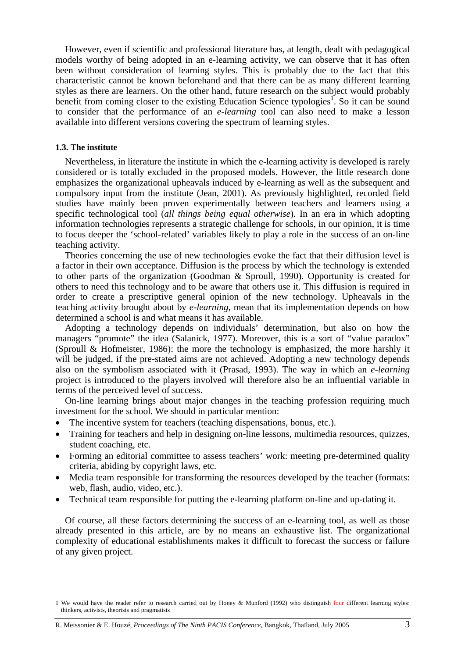However, even if scientific and professional literature has, at length, dealt with pedagogical models worthy of being adopted in an e-learning activity, we can observe that it has often been without consideration of learning styles. This is probably due to the fact that this characteristic cannot be known beforehand and that there can be as many different learning styles as there are learners. On the other hand, future research on the subject would probably benefit from coming closer to the existing Education Science typologies<sup>1</sup>. So it can be sound to consider that the performance of an *e-learning* tool can also need to make a lesson available into different versions covering the spectrum of learning styles.

### **1.3. The institute**

 $\overline{a}$ 

Nevertheless, in literature the institute in which the e-learning activity is developed is rarely considered or is totally excluded in the proposed models. However, the little research done emphasizes the organizational upheavals induced by e-learning as well as the subsequent and compulsory input from the institute (Jean, 2001). As previously highlighted, recorded field studies have mainly been proven experimentally between teachers and learners using a specific technological tool (*all things being equal otherwise*)*.* In an era in which adopting information technologies represents a strategic challenge for schools, in our opinion, it is time to focus deeper the 'school-related' variables likely to play a role in the success of an on-line teaching activity.

Theories concerning the use of new technologies evoke the fact that their diffusion level is a factor in their own acceptance. Diffusion is the process by which the technology is extended to other parts of the organization (Goodman & Sproull, 1990). Opportunity is created for others to need this technology and to be aware that others use it. This diffusion is required in order to create a prescriptive general opinion of the new technology. Upheavals in the teaching activity brought about by *e-learning*, mean that its implementation depends on how determined a school is and what means it has available.

Adopting a technology depends on individuals' determination, but also on how the managers "promote" the idea (Salanick, 1977). Moreover, this is a sort of "value paradox" (Sproull & Hofmeister, 1986): the more the technology is emphasized, the more harshly it will be judged, if the pre-stated aims are not achieved. Adopting a new technology depends also on the symbolism associated with it (Prasad, 1993). The way in which an *e-learning* project is introduced to the players involved will therefore also be an influential variable in terms of the perceived level of success.

On-line learning brings about major changes in the teaching profession requiring much investment for the school. We should in particular mention:

- The incentive system for teachers (teaching dispensations, bonus, etc.).
- Training for teachers and help in designing on-line lessons, multimedia resources, quizzes, student coaching, etc.
- Forming an editorial committee to assess teachers' work: meeting pre-determined quality criteria, abiding by copyright laws, etc.
- Media team responsible for transforming the resources developed by the teacher (formats: web, flash, audio, video, etc.).
- Technical team responsible for putting the e-learning platform on-line and up-dating it*.*

Of course, all these factors determining the success of an e-learning tool, as well as those already presented in this article, are by no means an exhaustive list. The organizational complexity of educational establishments makes it difficult to forecast the success or failure of any given project.

<sup>1</sup> We would have the reader refer to research carried out by Honey & Munford (1992) who distinguish four different learning styles: thinkers, activists, theorists and pragmatists

R. Meissonier & E. Houzé, *Proceedings of The Ninth PACIS Conference*, Bangkok, Thaïland, July 2005 3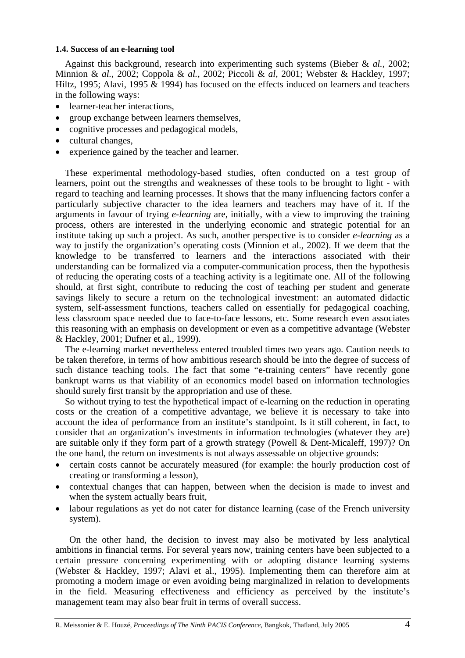## **1.4. Success of an e-learning tool**

Against this background, research into experimenting such systems (Bieber & *al.*, 2002; Minnion & *al.*, 2002; Coppola & *al.*, 2002; Piccoli & *al*, 2001; Webster & Hackley, 1997; Hiltz, 1995; Alavi, 1995  $\&$  1994) has focused on the effects induced on learners and teachers in the following ways:

- learner-teacher interactions,
- group exchange between learners themselves,
- cognitive processes and pedagogical models,
- cultural changes.
- experience gained by the teacher and learner.

These experimental methodology-based studies, often conducted on a test group of learners, point out the strengths and weaknesses of these tools to be brought to light - with regard to teaching and learning processes. It shows that the many influencing factors confer a particularly subjective character to the idea learners and teachers may have of it. If the arguments in favour of trying *e-learning* are, initially, with a view to improving the training process, others are interested in the underlying economic and strategic potential for an institute taking up such a project. As such, another perspective is to consider *e-learning* as a way to justify the organization's operating costs (Minnion et al., 2002). If we deem that the knowledge to be transferred to learners and the interactions associated with their understanding can be formalized via a computer-communication process, then the hypothesis of reducing the operating costs of a teaching activity is a legitimate one. All of the following should, at first sight, contribute to reducing the cost of teaching per student and generate savings likely to secure a return on the technological investment: an automated didactic system, self-assessment functions, teachers called on essentially for pedagogical coaching, less classroom space needed due to face-to-face lessons, etc. Some research even associates this reasoning with an emphasis on development or even as a competitive advantage (Webster & Hackley, 2001; Dufner et al., 1999).

The e-learning market nevertheless entered troubled times two years ago. Caution needs to be taken therefore, in terms of how ambitious research should be into the degree of success of such distance teaching tools. The fact that some "e-training centers" have recently gone bankrupt warns us that viability of an economics model based on information technologies should surely first transit by the appropriation and use of these.

So without trying to test the hypothetical impact of e-learning on the reduction in operating costs or the creation of a competitive advantage, we believe it is necessary to take into account the idea of performance from an institute's standpoint. Is it still coherent, in fact, to consider that an organization's investments in information technologies (whatever they are) are suitable only if they form part of a growth strategy (Powell & Dent-Micaleff, 1997)? On the one hand, the return on investments is not always assessable on objective grounds:

- certain costs cannot be accurately measured (for example: the hourly production cost of creating or transforming a lesson),
- contextual changes that can happen, between when the decision is made to invest and when the system actually bears fruit,
- labour regulations as yet do not cater for distance learning (case of the French university system).

On the other hand, the decision to invest may also be motivated by less analytical ambitions in financial terms. For several years now, training centers have been subjected to a certain pressure concerning experimenting with or adopting distance learning systems (Webster & Hackley, 1997; Alavi et al., 1995). Implementing them can therefore aim at promoting a modern image or even avoiding being marginalized in relation to developments in the field. Measuring effectiveness and efficiency as perceived by the institute's management team may also bear fruit in terms of overall success.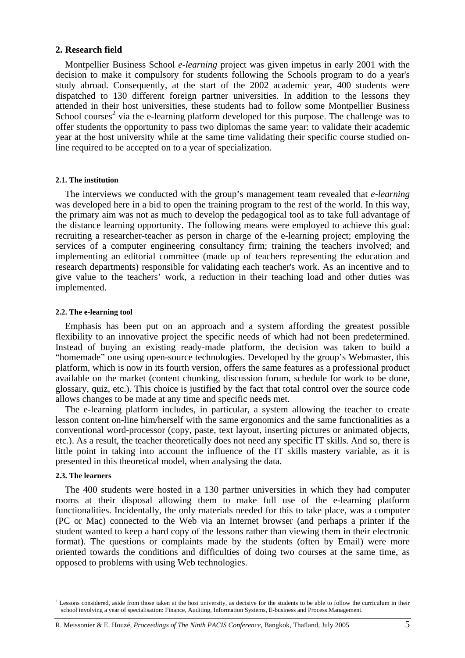# **2. Research field**

Montpellier Business School *e-learning* project was given impetus in early 2001 with the decision to make it compulsory for students following the Schools program to do a year's study abroad. Consequently, at the start of the 2002 academic year, 400 students were dispatched to 130 different foreign partner universities. In addition to the lessons they attended in their host universities, these students had to follow some Montpellier Business School courses<sup>2</sup> via the e-learning platform developed for this purpose. The challenge was to offer students the opportunity to pass two diplomas the same year: to validate their academic year at the host university while at the same time validating their specific course studied online required to be accepted on to a year of specialization.

#### **2.1. The institution**

The interviews we conducted with the group's management team revealed that *e-learning*  was developed here in a bid to open the training program to the rest of the world. In this way, the primary aim was not as much to develop the pedagogical tool as to take full advantage of the distance learning opportunity. The following means were employed to achieve this goal: recruiting a researcher-teacher as person in charge of the e-learning project; employing the services of a computer engineering consultancy firm; training the teachers involved; and implementing an editorial committee (made up of teachers representing the education and research departments) responsible for validating each teacher's work. As an incentive and to give value to the teachers' work, a reduction in their teaching load and other duties was implemented.

### **2.2. The e-learning tool**

Emphasis has been put on an approach and a system affording the greatest possible flexibility to an innovative project the specific needs of which had not been predetermined. Instead of buying an existing ready-made platform, the decision was taken to build a "homemade" one using open-source technologies. Developed by the group's Webmaster, this platform, which is now in its fourth version, offers the same features as a professional product available on the market (content chunking, discussion forum, schedule for work to be done, glossary, quiz, etc.). This choice is justified by the fact that total control over the source code allows changes to be made at any time and specific needs met.

The e-learning platform includes, in particular, a system allowing the teacher to create lesson content on-line him/herself with the same ergonomics and the same functionalities as a conventional word-processor (copy, paste, text layout, inserting pictures or animated objects, etc.). As a result, the teacher theoretically does not need any specific IT skills. And so, there is little point in taking into account the influence of the IT skills mastery variable, as it is presented in this theoretical model, when analysing the data.

### **2.3. The learners**

 $\overline{a}$ 

The 400 students were hosted in a 130 partner universities in which they had computer rooms at their disposal allowing them to make full use of the e-learning platform functionalities. Incidentally, the only materials needed for this to take place, was a computer (PC or Mac) connected to the Web via an Internet browser (and perhaps a printer if the student wanted to keep a hard copy of the lessons rather than viewing them in their electronic format). The questions or complaints made by the students (often by Email) were more oriented towards the conditions and difficulties of doing two courses at the same time, as opposed to problems with using Web technologies.

 $<sup>2</sup>$  Lessons considered, aside from those taken at the host university, as decisive for the students to be able to follow the curriculum in their</sup> school involving a year of specialisation: Finance, Auditing, Information Systems, E-business and Process Management.

R. Meissonier & E. Houzé, *Proceedings of The Ninth PACIS Conference*, Bangkok, Thaïland, July 2005 5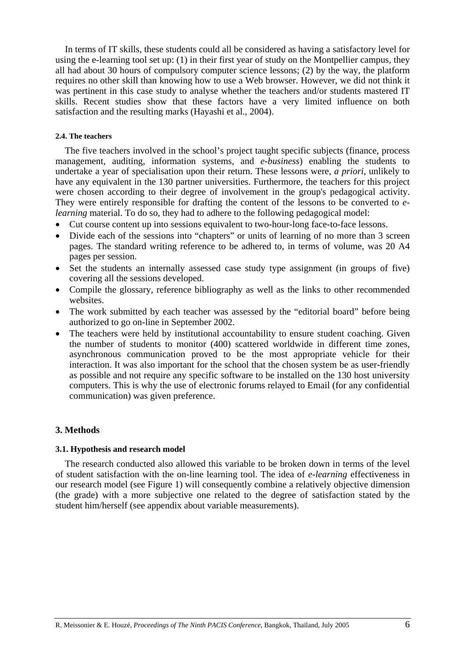In terms of IT skills, these students could all be considered as having a satisfactory level for using the e-learning tool set up: (1) in their first year of study on the Montpellier campus, they all had about 30 hours of compulsory computer science lessons; (2) by the way, the platform requires no other skill than knowing how to use a Web browser. However, we did not think it was pertinent in this case study to analyse whether the teachers and/or students mastered IT skills. Recent studies show that these factors have a very limited influence on both satisfaction and the resulting marks (Hayashi et al., 2004).

### **2.4. The teachers**

The five teachers involved in the school's project taught specific subjects (finance, process management, auditing, information systems, and *e-business*) enabling the students to undertake a year of specialisation upon their return. These lessons were, *a priori*, unlikely to have any equivalent in the 130 partner universities. Furthermore, the teachers for this project were chosen according to their degree of involvement in the group's pedagogical activity. They were entirely responsible for drafting the content of the lessons to be converted to *elearning* material. To do so, they had to adhere to the following pedagogical model:

- Cut course content up into sessions equivalent to two-hour-long face-to-face lessons.
- Divide each of the sessions into "chapters" or units of learning of no more than 3 screen pages. The standard writing reference to be adhered to, in terms of volume, was 20 A4 pages per session.
- Set the students an internally assessed case study type assignment (in groups of five) covering all the sessions developed.
- Compile the glossary, reference bibliography as well as the links to other recommended websites.
- The work submitted by each teacher was assessed by the "editorial board" before being authorized to go on-line in September 2002.
- The teachers were held by institutional accountability to ensure student coaching. Given the number of students to monitor (400) scattered worldwide in different time zones, asynchronous communication proved to be the most appropriate vehicle for their interaction. It was also important for the school that the chosen system be as user-friendly as possible and not require any specific software to be installed on the 130 host university computers. This is why the use of electronic forums relayed to Email (for any confidential communication) was given preference.

# **3. Methods**

### **3.1. Hypothesis and research model**

The research conducted also allowed this variable to be broken down in terms of the level of student satisfaction with the on-line learning tool. The idea of *e-learning* effectiveness in our research model (see Figure 1) will consequently combine a relatively objective dimension (the grade) with a more subjective one related to the degree of satisfaction stated by the student him/herself (see appendix about variable measurements).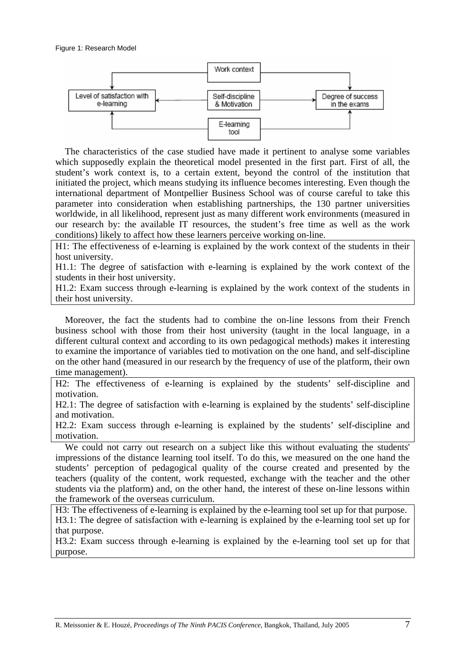

The characteristics of the case studied have made it pertinent to analyse some variables which supposedly explain the theoretical model presented in the first part. First of all, the student's work context is, to a certain extent, beyond the control of the institution that initiated the project, which means studying its influence becomes interesting. Even though the international department of Montpellier Business School was of course careful to take this parameter into consideration when establishing partnerships, the 130 partner universities worldwide, in all likelihood, represent just as many different work environments (measured in our research by: the available IT resources, the student's free time as well as the work conditions) likely to affect how these learners perceive working on-line.

H1: The effectiveness of e-learning is explained by the work context of the students in their host university.

H1.1: The degree of satisfaction with e-learning is explained by the work context of the students in their host university.

H1.2: Exam success through e-learning is explained by the work context of the students in their host university.

Moreover, the fact the students had to combine the on-line lessons from their French business school with those from their host university (taught in the local language, in a different cultural context and according to its own pedagogical methods) makes it interesting to examine the importance of variables tied to motivation on the one hand, and self-discipline on the other hand (measured in our research by the frequency of use of the platform, their own time management).

H2: The effectiveness of e-learning is explained by the students' self-discipline and motivation.

H2.1: The degree of satisfaction with e-learning is explained by the students' self-discipline and motivation.

H2.2: Exam success through e-learning is explained by the students' self-discipline and motivation.

We could not carry out research on a subject like this without evaluating the students' impressions of the distance learning tool itself. To do this, we measured on the one hand the students' perception of pedagogical quality of the course created and presented by the teachers (quality of the content, work requested, exchange with the teacher and the other students via the platform) and, on the other hand, the interest of these on-line lessons within the framework of the overseas curriculum.

H3: The effectiveness of e-learning is explained by the e-learning tool set up for that purpose. H3.1: The degree of satisfaction with e-learning is explained by the e-learning tool set up for that purpose.

H3.2: Exam success through e-learning is explained by the e-learning tool set up for that purpose.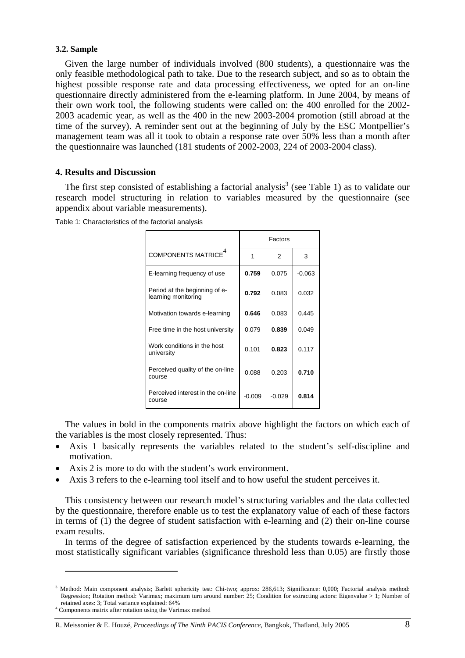## **3.2. Sample**

Given the large number of individuals involved (800 students), a questionnaire was the only feasible methodological path to take. Due to the research subject, and so as to obtain the highest possible response rate and data processing effectiveness, we opted for an on-line questionnaire directly administered from the e-learning platform. In June 2004, by means of their own work tool, the following students were called on: the 400 enrolled for the 2002- 2003 academic year, as well as the 400 in the new 2003-2004 promotion (still abroad at the time of the survey). A reminder sent out at the beginning of July by the ESC Montpellier's management team was all it took to obtain a response rate over 50% less than a month after the questionnaire was launched (181 students of 2002-2003, 224 of 2003-2004 class).

# **4. Results and Discussion**

The first step consisted of establishing a factorial analysis<sup>3</sup> (see Table 1) as to validate our research model structuring in relation to variables measured by the questionnaire (see appendix about variable measurements).

|                                                      | Factors  |          |          |
|------------------------------------------------------|----------|----------|----------|
| COMPONENTS MATRICE <sup>4</sup>                      | 1        | 2        | 3        |
| E-learning frequency of use                          | 0.759    | 0.075    | $-0.063$ |
| Period at the beginning of e-<br>learning monitoring | 0.792    | 0.083    | 0.032    |
| Motivation towards e-learning                        | 0.646    | 0.083    | 0.445    |
| Free time in the host university                     | 0.079    | 0.839    | 0.049    |
| Work conditions in the host<br>university            | 0.101    | 0.823    | 0.117    |
| Perceived quality of the on-line<br>course           | 0.088    | 0.203    | 0.710    |
| Perceived interest in the on-line<br>course          | $-0.009$ | $-0.029$ | 0.814    |

Table 1: Characteristics of the factorial analysis

The values in bold in the components matrix above highlight the factors on which each of the variables is the most closely represented. Thus:

- Axis 1 basically represents the variables related to the student's self-discipline and motivation.
- Axis 2 is more to do with the student's work environment.
- Axis 3 refers to the e-learning tool itself and to how useful the student perceives it.

This consistency between our research model's structuring variables and the data collected by the questionnaire, therefore enable us to test the explanatory value of each of these factors in terms of (1) the degree of student satisfaction with e-learning and (2) their on-line course exam results.

In terms of the degree of satisfaction experienced by the students towards e-learning, the most statistically significant variables (significance threshold less than 0.05) are firstly those

 $\overline{a}$ 

<sup>&</sup>lt;sup>3</sup> Method: Main component analysis; Barlett sphericity test: Chi-two; approx: 286,613; Significance: 0,000; Factorial analysis method: Regression; Rotation method: Varimax; maximum turn around number: 25; Condition for extracting actors: Eigenvalue > 1; Number of retained axes: 3; Total variance explained: 64%

Components matrix after rotation using the Varimax method

R. Meissonier & E. Houzé, *Proceedings of The Ninth PACIS Conference*, Bangkok, Thaïland, July 2005 8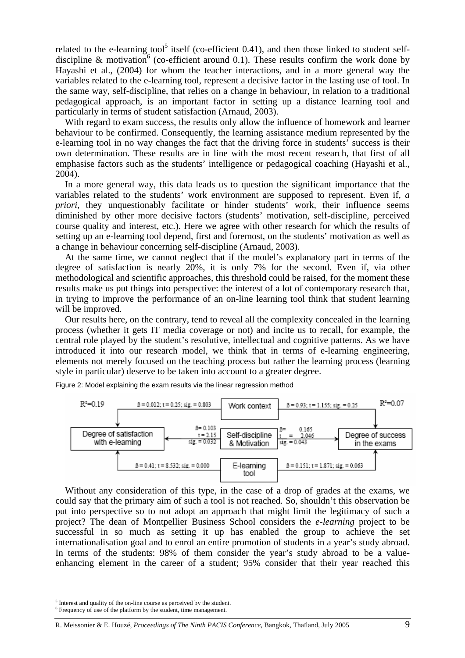related to the e-learning tool<sup>5</sup> itself (co-efficient 0.41), and then those linked to student selfdiscipline & motivation<sup>6</sup> (co-efficient around 0.1). These results confirm the work done by Hayashi et al., (2004) for whom the teacher interactions, and in a more general way the variables related to the e-learning tool, represent a decisive factor in the lasting use of tool. In the same way, self-discipline, that relies on a change in behaviour, in relation to a traditional pedagogical approach, is an important factor in setting up a distance learning tool and particularly in terms of student satisfaction (Arnaud, 2003).

With regard to exam success, the results only allow the influence of homework and learner behaviour to be confirmed. Consequently, the learning assistance medium represented by the e-learning tool in no way changes the fact that the driving force in students' success is their own determination. These results are in line with the most recent research, that first of all emphasise factors such as the students' intelligence or pedagogical coaching (Hayashi et al., 2004).

In a more general way, this data leads us to question the significant importance that the variables related to the students' work environment are supposed to represent. Even if, *a priori*, they unquestionably facilitate or hinder students' work, their influence seems diminished by other more decisive factors (students' motivation, self-discipline, perceived course quality and interest, etc.). Here we agree with other research for which the results of setting up an e-learning tool depend, first and foremost, on the students' motivation as well as a change in behaviour concerning self-discipline (Arnaud, 2003).

At the same time, we cannot neglect that if the model's explanatory part in terms of the degree of satisfaction is nearly 20%, it is only 7% for the second. Even if, via other methodological and scientific approaches, this threshold could be raised, for the moment these results make us put things into perspective: the interest of a lot of contemporary research that, in trying to improve the performance of an on-line learning tool think that student learning will be improved.

Our results here, on the contrary, tend to reveal all the complexity concealed in the learning process (whether it gets IT media coverage or not) and incite us to recall, for example, the central role played by the student's resolutive, intellectual and cognitive patterns. As we have introduced it into our research model, we think that in terms of e-learning engineering, elements not merely focused on the teaching process but rather the learning process (learning style in particular) deserve to be taken into account to a greater degree.

Figure 2: Model explaining the exam results via the linear regression method



Without any consideration of this type, in the case of a drop of grades at the exams, we could say that the primary aim of such a tool is not reached. So, shouldn't this observation be put into perspective so to not adopt an approach that might limit the legitimacy of such a project? The dean of Montpellier Business School considers the *e-learning* project to be successful in so much as setting it up has enabled the group to achieve the set internationalisation goal and to enrol an entire promotion of students in a year's study abroad. In terms of the students: 98% of them consider the year's study abroad to be a valueenhancing element in the career of a student; 95% consider that their year reached this

 $\overline{a}$ 

 $^5$  Interest and quality of the on-line course as perceived by the student.

 $6$  Frequency of use of the platform by the student, time management.

R. Meissonier & E. Houzé, *Proceedings of The Ninth PACIS Conference*, Bangkok, Thaïland, July 2005 9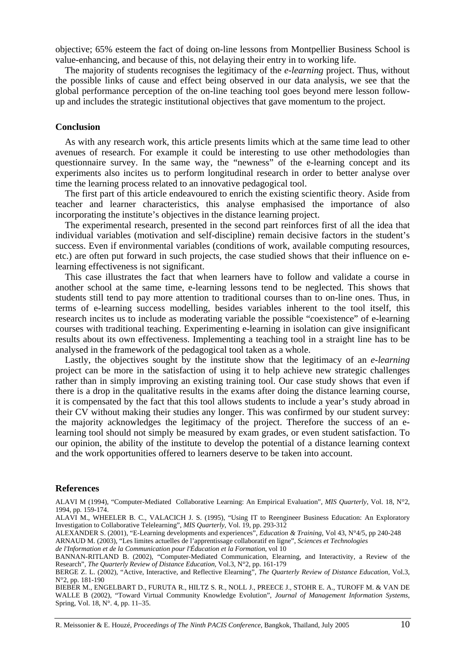objective; 65% esteem the fact of doing on-line lessons from Montpellier Business School is value-enhancing, and because of this, not delaying their entry in to working life.

The majority of students recognises the legitimacy of the *e-learning* project. Thus, without the possible links of cause and effect being observed in our data analysis, we see that the global performance perception of the on-line teaching tool goes beyond mere lesson followup and includes the strategic institutional objectives that gave momentum to the project.

### **Conclusion**

As with any research work, this article presents limits which at the same time lead to other avenues of research. For example it could be interesting to use other methodologies than questionnaire survey. In the same way, the "newness" of the e-learning concept and its experiments also incites us to perform longitudinal research in order to better analyse over time the learning process related to an innovative pedagogical tool.

The first part of this article endeavoured to enrich the existing scientific theory. Aside from teacher and learner characteristics, this analyse emphasised the importance of also incorporating the institute's objectives in the distance learning project.

The experimental research, presented in the second part reinforces first of all the idea that individual variables (motivation and self-discipline) remain decisive factors in the student's success. Even if environmental variables (conditions of work, available computing resources, etc.) are often put forward in such projects, the case studied shows that their influence on elearning effectiveness is not significant.

This case illustrates the fact that when learners have to follow and validate a course in another school at the same time, e-learning lessons tend to be neglected. This shows that students still tend to pay more attention to traditional courses than to on-line ones. Thus, in terms of e-learning success modelling, besides variables inherent to the tool itself, this research incites us to include as moderating variable the possible "coexistence" of e-learning courses with traditional teaching. Experimenting e-learning in isolation can give insignificant results about its own effectiveness. Implementing a teaching tool in a straight line has to be analysed in the framework of the pedagogical tool taken as a whole.

Lastly, the objectives sought by the institute show that the legitimacy of an *e-learning* project can be more in the satisfaction of using it to help achieve new strategic challenges rather than in simply improving an existing training tool. Our case study shows that even if there is a drop in the qualitative results in the exams after doing the distance learning course, it is compensated by the fact that this tool allows students to include a year's study abroad in their CV without making their studies any longer. This was confirmed by our student survey: the majority acknowledges the legitimacy of the project. Therefore the success of an elearning tool should not simply be measured by exam grades, or even student satisfaction. To our opinion, the ability of the institute to develop the potential of a distance learning context and the work opportunities offered to learners deserve to be taken into account.

#### **References**

ALAVI M (1994), "Computer-Mediated Collaborative Learning: An Empirical Evaluation", *MIS Quarterly*, Vol. 18, N°2, 1994, pp. 159-174.

ALAVI M., WHEELER B. C., VALACICH J. S. (1995), "Using IT to Reengineer Business Education: An Exploratory Investigation to Collaborative Telelearning", *MIS Quarterly*, Vol. 19, pp. 293-312

ALEXANDER S. (2001), "E-Learning developments and experiences", *Education & Training,* Vol 43, N°4/5, pp 240-248

ARNAUD M. (2003), "Les limites actuelles de l'apprentissage collaboratif en ligne", *Sciences et Technologies* 

*de l'Information et de la Communication pour l'Éducation et la Formation*, vol 10

BANNAN-RITLAND B. (2002), "Computer-Mediated Communication, Elearning, and Interactivity, a Review of the Research", *The Quarterly Review of Distance Education,* Vol.3, N°2, pp. 161-179

BERGE Z. L. (2002), "Active, Interactive, and Reflective Elearning", *The Quarterly Review of Distance Education,* Vol.3, N°2, pp. 181-190

BIEBER M., ENGELBART D., FURUTA R., HILTZ S. R., NOLL J., PREECE J., STOHR E. A., TUROFF M. & VAN DE WALLE B (2002), "Toward Virtual Community Knowledge Evolution", *Journal of Management Information Systems*, Spring, Vol. 18, N°. 4, pp. 11–35.

R. Meissonier & E. Houzé, *Proceedings of The Ninth PACIS Conference*, Bangkok, Thaïland, July 2005 10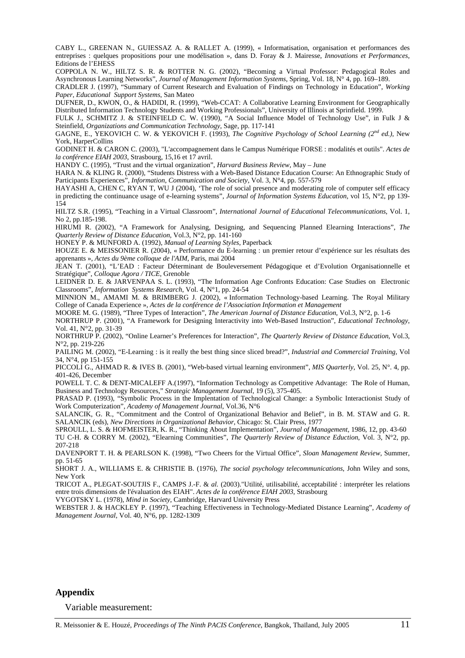CABY L., GREENAN N., GUIESSAZ A. & RALLET A. (1999), « Informatisation, organisation et performances des entreprises : quelques propositions pour une modélisation », dans D. Foray & J. Mairesse, *Innovations et Performances*, Editions de l'EHESS

COPPOLA N. W., HILTZ S. R. & ROTTER N. G. (2002), "Becoming a Virtual Professor: Pedagogical Roles and Asynchronous Learning Networks", *Journal of Management Information Systems*, Spring, Vol. 18, N° 4, pp. 169–189.

CRADLER J. (1997), "Summary of Current Research and Evaluation of Findings on Technology in Education", *Working Paper*, *Educational Support Systems*, San Mateo

DUFNER, D., KWON, O., & HADIDI, R. (1999), "Web-CCAT: A Collaborative Learning Environment for Geographically Distributed Information Technology Students and Working Professionals", University of Illinois at Sprinfield. 1999.

FULK J., SCHMITZ J. & STEINFIELD C. W. (1990), "A Social Influence Model of Technology Use", in Fulk J & Steinfield, *Organizations and Communication Technology*, Sage, pp. 117-141

GAGNE, E., YEKOVICH C. W. & YEKOVICH F. (1993), *The Cognitive Psychology of School Learning (2nd ed.)*, New York, HarperCollins

GODINET H. & CARON C. (2003), "L'accompagnement dans le Campus Numérique FORSE : modalités et outils". *Actes de la conférence EIAH 2003*, Strasbourg, 15,16 et 17 avril.

HANDY C. (1995), "Trust and the virtual organization", *Harvard Business Review*, May – June

HARA N. & KLING R. (2000), "Students Distress with a Web-Based Distance Education Course: An Ethnographic Study of Participants Experiences", *Information, Communication and Society*, Vol. 3, N°4, pp. 557-579

HAYASHI A, CHEN C, RYAN T, WU J (2004), 'The role of social presence and moderating role of computer self efficacy in predicting the continuance usage of e-learning systems", *Journal of Information Systems Education,* vol 15, N°2, pp 139- 154

HILTZ S.R. (1995), "Teaching in a Virtual Classroom", *International Journal of Educational Telecommunications*, Vol. 1, No 2, pp.185-198.

HIRUMI R. (2002), "A Framework for Analysing, Designing, and Sequencing Planned Elearning Interactions", *The Quarterly Review of Distance Education,* Vol.3, N°2, pp. 141-160

HONEY P. & MUNFORD A. (1992), *Manual of Learning Styles*, Paperback

HOUZE E. & MEISSONIER R. (2004), « Performance du E-learning : un premier retour d'expérience sur les résultats des apprenants », *Actes du 9ème colloque de l'AIM*, Paris, mai 2004

JEAN T. (2001), "L'EAD : Facteur Déterminant de Bouleversement Pédagogique et d'Evolution Organisationnelle et Stratégique", *Colloque Agora / TICE*, Grenoble

LEIDNER D. E. & JARVENPAA S. L. (1993), "The Information Age Confronts Education: Case Studies on Electronic Classrooms", *Information Systems Research*, Vol. 4, N°1, pp. 24-54

MINNION M., AMAMI M. & BRIMBERG J. (2002), « Information Technology-based Learning. The Royal Military College of Canada Experience », *Actes de la conférence de l'Association Information et Management* 

MOORE M. G. (1989), "Three Types of Interaction", *The American Journal of Distance Education*, Vol.3, N°2, p. 1-6

NORTHRUP P. (2001), "A Framework for Designing Interactivity into Web-Based Instruction", *Educational Technology*, Vol. 41, N°2, pp. 31-39

NORTHRUP P. (2002), "Online Learner's Preferences for Interaction", *The Quarterly Review of Distance Education*, Vol.3, N°2, pp. 219-226

PAILING M. (2002), "E-Learning : is it really the best thing since sliced bread?", *Industrial and Commercial Training,* Vol 34, N°4, pp 151-155

PICCOLI G., AHMAD R. & IVES B. (2001), "Web-based virtual learning environment", *MIS Quarterly*, Vol. 25, N°. 4, pp. 401-426, December

POWELL T. C. & DENT-MICALEFF A.(1997), "Information Technology as Competitive Advantage: The Role of Human, Business and Technology Resources," *Strategic Management Journal*, 19 (5), 375-405.

PRASAD P. (1993), "Symbolic Process in the Implentation of Technological Change: a Symbolic Interactionist Study of Work Computerization", *Academy of Management Journal*, Vol.36, N°6

SALANCIK, G. R., "Commitment and the Control of Organizational Behavior and Belief", in B. M. STAW and G. R. SALANCIK (eds), *New Directions in Organizational Behavior*, Chicago: St. Clair Press, 1977

SPROULL, L. S. & HOFMEISTER, K. R., "Thinking About Implementation", *Journal of Management*, 1986, 12, pp. 43-60

TU C-H. & CORRY M. (2002), "Elearning Communities", *The Quarterly Review of Distance Eduction*, Vol. 3, N°2, pp. 207-218

DAVENPORT T. H. & PEARLSON K. (1998), "Two Cheers for the Virtual Office", *Sloan Management Review*, Summer, pp. 51-65

SHORT J. A., WILLIAMS E. & CHRISTIE B. (1976), *The social psychology telecommunications*, John Wiley and sons, New York

TRICOT A., PLEGAT-SOUTJIS F., CAMPS J.-F. & *al.* (2003)."Utilité, utilisabilité, acceptabilité : interpréter les relations entre trois dimensions de l'évaluation des EIAH". *Actes de la conférence EIAH 2003*, Strasbourg

VYGOTSKY L. (1978), *Mind in Society*, Cambridge, Harvard University Press

WEBSTER J. & HACKLEY P. (1997), "Teaching Effectiveness in Technology-Mediated Distance Learning", *Academy of Management Journal*, Vol. 40, N°6, pp. 1282-1309

# **Appendix**

Variable measurement: